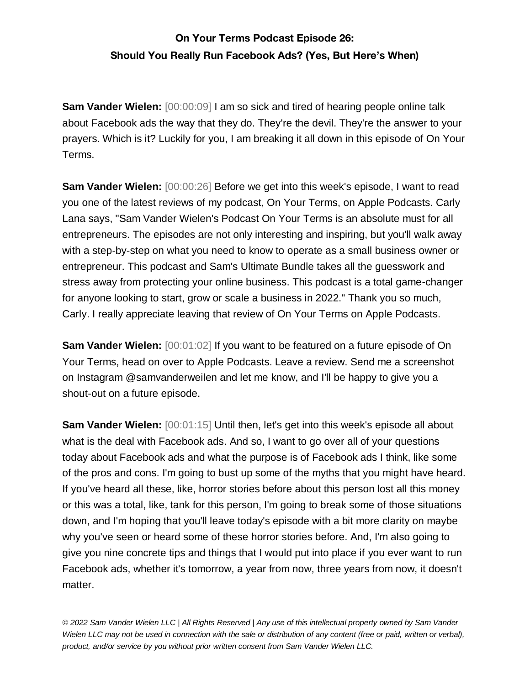**Sam Vander Wielen:** [00:00:09] I am so sick and tired of hearing people online talk about Facebook ads the way that they do. They're the devil. They're the answer to your prayers. Which is it? Luckily for you, I am breaking it all down in this episode of On Your Terms.

**Sam Vander Wielen:** [00:00:26] Before we get into this week's episode, I want to read you one of the latest reviews of my podcast, On Your Terms, on Apple Podcasts. Carly Lana says, "Sam Vander Wielen's Podcast On Your Terms is an absolute must for all entrepreneurs. The episodes are not only interesting and inspiring, but you'll walk away with a step-by-step on what you need to know to operate as a small business owner or entrepreneur. This podcast and Sam's Ultimate Bundle takes all the guesswork and stress away from protecting your online business. This podcast is a total game-changer for anyone looking to start, grow or scale a business in 2022." Thank you so much, Carly. I really appreciate leaving that review of On Your Terms on Apple Podcasts.

**Sam Vander Wielen:** [00:01:02] If you want to be featured on a future episode of On Your Terms, head on over to Apple Podcasts. Leave a review. Send me a screenshot on Instagram @samvanderweilen and let me know, and I'll be happy to give you a shout-out on a future episode.

**Sam Vander Wielen:**  $[00:01:15]$  Until then, let's get into this week's episode all about what is the deal with Facebook ads. And so, I want to go over all of your questions today about Facebook ads and what the purpose is of Facebook ads I think, like some of the pros and cons. I'm going to bust up some of the myths that you might have heard. If you've heard all these, like, horror stories before about this person lost all this money or this was a total, like, tank for this person, I'm going to break some of those situations down, and I'm hoping that you'll leave today's episode with a bit more clarity on maybe why you've seen or heard some of these horror stories before. And, I'm also going to give you nine concrete tips and things that I would put into place if you ever want to run Facebook ads, whether it's tomorrow, a year from now, three years from now, it doesn't matter.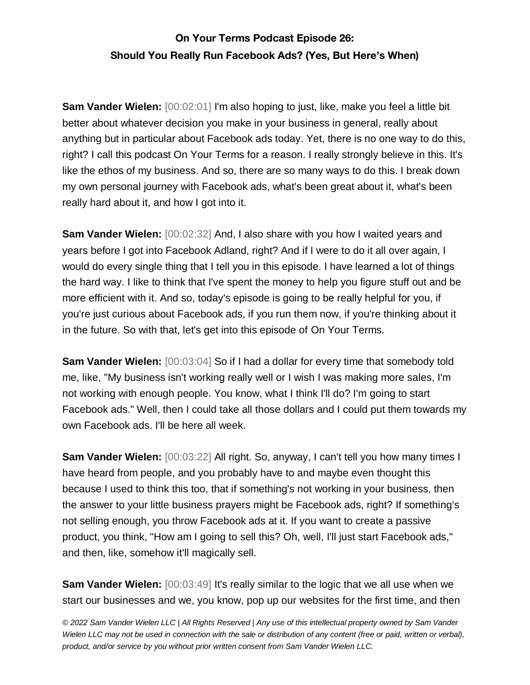**Sam Vander Wielen:** [00:02:01] I'm also hoping to just, like, make you feel a little bit better about whatever decision you make in your business in general, really about anything but in particular about Facebook ads today. Yet, there is no one way to do this, right? I call this podcast On Your Terms for a reason. I really strongly believe in this. It's like the ethos of my business. And so, there are so many ways to do this. I break down my own personal journey with Facebook ads, what's been great about it, what's been really hard about it, and how I got into it.

**Sam Vander Wielen:** [00:02:32] And, I also share with you how I waited years and years before I got into Facebook Adland, right? And if I were to do it all over again, I would do every single thing that I tell you in this episode. I have learned a lot of things the hard way. I like to think that I've spent the money to help you figure stuff out and be more efficient with it. And so, today's episode is going to be really helpful for you, if you're just curious about Facebook ads, if you run them now, if you're thinking about it in the future. So with that, let's get into this episode of On Your Terms.

**Sam Vander Wielen:** [00:03:04] So if I had a dollar for every time that somebody told me, like, "My business isn't working really well or I wish I was making more sales, I'm not working with enough people. You know, what I think I'll do? I'm going to start Facebook ads." Well, then I could take all those dollars and I could put them towards my own Facebook ads. I'll be here all week.

**Sam Vander Wielen:** [00:03:22] All right. So, anyway, I can't tell you how many times I have heard from people, and you probably have to and maybe even thought this because I used to think this too, that if something's not working in your business, then the answer to your little business prayers might be Facebook ads, right? If something's not selling enough, you throw Facebook ads at it. If you want to create a passive product, you think, "How am I going to sell this? Oh, well, I'll just start Facebook ads," and then, like, somehow it'll magically sell.

**Sam Vander Wielen:** [00:03:49] It's really similar to the logic that we all use when we start our businesses and we, you know, pop up our websites for the first time, and then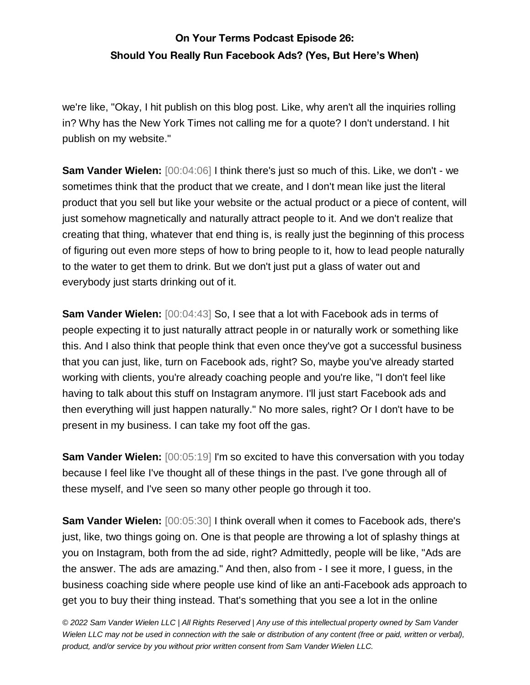we're like, "Okay, I hit publish on this blog post. Like, why aren't all the inquiries rolling in? Why has the New York Times not calling me for a quote? I don't understand. I hit publish on my website."

**Sam Vander Wielen:** [00:04:06] I think there's just so much of this. Like, we don't - we sometimes think that the product that we create, and I don't mean like just the literal product that you sell but like your website or the actual product or a piece of content, will just somehow magnetically and naturally attract people to it. And we don't realize that creating that thing, whatever that end thing is, is really just the beginning of this process of figuring out even more steps of how to bring people to it, how to lead people naturally to the water to get them to drink. But we don't just put a glass of water out and everybody just starts drinking out of it.

**Sam Vander Wielen:** [00:04:43] So, I see that a lot with Facebook ads in terms of people expecting it to just naturally attract people in or naturally work or something like this. And I also think that people think that even once they've got a successful business that you can just, like, turn on Facebook ads, right? So, maybe you've already started working with clients, you're already coaching people and you're like, "I don't feel like having to talk about this stuff on Instagram anymore. I'll just start Facebook ads and then everything will just happen naturally." No more sales, right? Or I don't have to be present in my business. I can take my foot off the gas.

**Sam Vander Wielen:**  $[00:05:19]$  I'm so excited to have this conversation with you today because I feel like I've thought all of these things in the past. I've gone through all of these myself, and I've seen so many other people go through it too.

**Sam Vander Wielen:**  $[00:05:30]$  I think overall when it comes to Facebook ads, there's just, like, two things going on. One is that people are throwing a lot of splashy things at you on Instagram, both from the ad side, right? Admittedly, people will be like, "Ads are the answer. The ads are amazing." And then, also from - I see it more, I guess, in the business coaching side where people use kind of like an anti-Facebook ads approach to get you to buy their thing instead. That's something that you see a lot in the online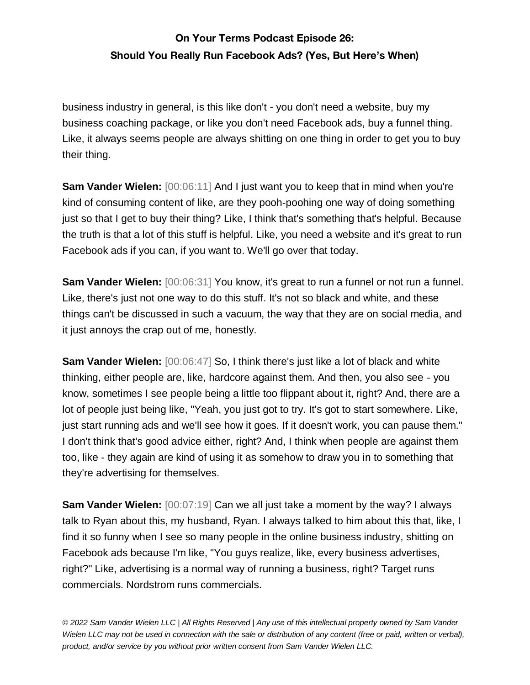business industry in general, is this like don't - you don't need a website, buy my business coaching package, or like you don't need Facebook ads, buy a funnel thing. Like, it always seems people are always shitting on one thing in order to get you to buy their thing.

**Sam Vander Wielen:** [00:06:11] And I just want you to keep that in mind when you're kind of consuming content of like, are they pooh-poohing one way of doing something just so that I get to buy their thing? Like, I think that's something that's helpful. Because the truth is that a lot of this stuff is helpful. Like, you need a website and it's great to run Facebook ads if you can, if you want to. We'll go over that today.

**Sam Vander Wielen:** [00:06:31] You know, it's great to run a funnel or not run a funnel. Like, there's just not one way to do this stuff. It's not so black and white, and these things can't be discussed in such a vacuum, the way that they are on social media, and it just annoys the crap out of me, honestly.

**Sam Vander Wielen:** [00:06:47] So, I think there's just like a lot of black and white thinking, either people are, like, hardcore against them. And then, you also see - you know, sometimes I see people being a little too flippant about it, right? And, there are a lot of people just being like, "Yeah, you just got to try. It's got to start somewhere. Like, just start running ads and we'll see how it goes. If it doesn't work, you can pause them." I don't think that's good advice either, right? And, I think when people are against them too, like - they again are kind of using it as somehow to draw you in to something that they're advertising for themselves.

**Sam Vander Wielen:** [00:07:19] Can we all just take a moment by the way? I always talk to Ryan about this, my husband, Ryan. I always talked to him about this that, like, I find it so funny when I see so many people in the online business industry, shitting on Facebook ads because I'm like, "You guys realize, like, every business advertises, right?" Like, advertising is a normal way of running a business, right? Target runs commercials. Nordstrom runs commercials.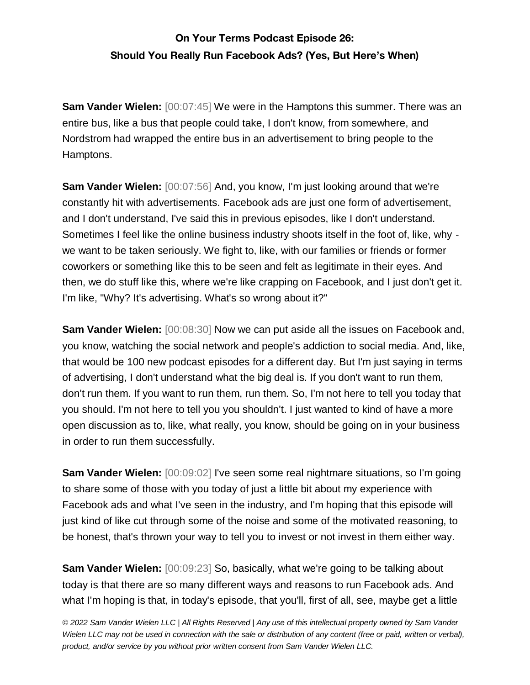**Sam Vander Wielen:** [00:07:45] We were in the Hamptons this summer. There was an entire bus, like a bus that people could take, I don't know, from somewhere, and Nordstrom had wrapped the entire bus in an advertisement to bring people to the Hamptons.

**Sam Vander Wielen:** [00:07:56] And, you know, I'm just looking around that we're constantly hit with advertisements. Facebook ads are just one form of advertisement, and I don't understand, I've said this in previous episodes, like I don't understand. Sometimes I feel like the online business industry shoots itself in the foot of, like, why we want to be taken seriously. We fight to, like, with our families or friends or former coworkers or something like this to be seen and felt as legitimate in their eyes. And then, we do stuff like this, where we're like crapping on Facebook, and I just don't get it. I'm like, "Why? It's advertising. What's so wrong about it?"

**Sam Vander Wielen:** [00:08:30] Now we can put aside all the issues on Facebook and, you know, watching the social network and people's addiction to social media. And, like, that would be 100 new podcast episodes for a different day. But I'm just saying in terms of advertising, I don't understand what the big deal is. If you don't want to run them, don't run them. If you want to run them, run them. So, I'm not here to tell you today that you should. I'm not here to tell you you shouldn't. I just wanted to kind of have a more open discussion as to, like, what really, you know, should be going on in your business in order to run them successfully.

**Sam Vander Wielen:** [00:09:02] I've seen some real nightmare situations, so I'm going to share some of those with you today of just a little bit about my experience with Facebook ads and what I've seen in the industry, and I'm hoping that this episode will just kind of like cut through some of the noise and some of the motivated reasoning, to be honest, that's thrown your way to tell you to invest or not invest in them either way.

**Sam Vander Wielen:** [00:09:23] So, basically, what we're going to be talking about today is that there are so many different ways and reasons to run Facebook ads. And what I'm hoping is that, in today's episode, that you'll, first of all, see, maybe get a little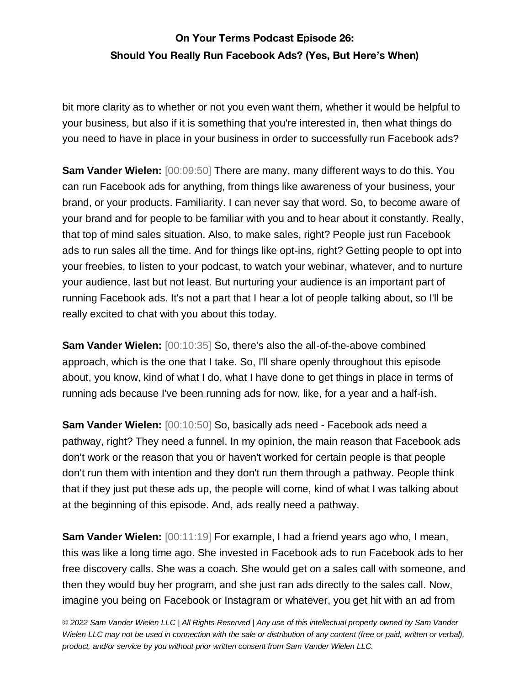bit more clarity as to whether or not you even want them, whether it would be helpful to your business, but also if it is something that you're interested in, then what things do you need to have in place in your business in order to successfully run Facebook ads?

**Sam Vander Wielen:** [00:09:50] There are many, many different ways to do this. You can run Facebook ads for anything, from things like awareness of your business, your brand, or your products. Familiarity. I can never say that word. So, to become aware of your brand and for people to be familiar with you and to hear about it constantly. Really, that top of mind sales situation. Also, to make sales, right? People just run Facebook ads to run sales all the time. And for things like opt-ins, right? Getting people to opt into your freebies, to listen to your podcast, to watch your webinar, whatever, and to nurture your audience, last but not least. But nurturing your audience is an important part of running Facebook ads. It's not a part that I hear a lot of people talking about, so I'll be really excited to chat with you about this today.

**Sam Vander Wielen:** [00:10:35] So, there's also the all-of-the-above combined approach, which is the one that I take. So, I'll share openly throughout this episode about, you know, kind of what I do, what I have done to get things in place in terms of running ads because I've been running ads for now, like, for a year and a half-ish.

**Sam Vander Wielen:** [00:10:50] So, basically ads need - Facebook ads need a pathway, right? They need a funnel. In my opinion, the main reason that Facebook ads don't work or the reason that you or haven't worked for certain people is that people don't run them with intention and they don't run them through a pathway. People think that if they just put these ads up, the people will come, kind of what I was talking about at the beginning of this episode. And, ads really need a pathway.

**Sam Vander Wielen:** [00:11:19] For example, I had a friend years ago who, I mean, this was like a long time ago. She invested in Facebook ads to run Facebook ads to her free discovery calls. She was a coach. She would get on a sales call with someone, and then they would buy her program, and she just ran ads directly to the sales call. Now, imagine you being on Facebook or Instagram or whatever, you get hit with an ad from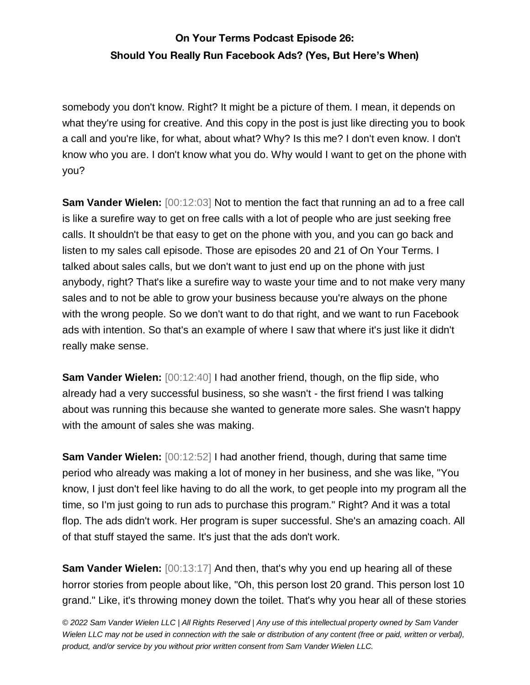somebody you don't know. Right? It might be a picture of them. I mean, it depends on what they're using for creative. And this copy in the post is just like directing you to book a call and you're like, for what, about what? Why? Is this me? I don't even know. I don't know who you are. I don't know what you do. Why would I want to get on the phone with you?

**Sam Vander Wielen:** [00:12:03] Not to mention the fact that running an ad to a free call is like a surefire way to get on free calls with a lot of people who are just seeking free calls. It shouldn't be that easy to get on the phone with you, and you can go back and listen to my sales call episode. Those are episodes 20 and 21 of On Your Terms. I talked about sales calls, but we don't want to just end up on the phone with just anybody, right? That's like a surefire way to waste your time and to not make very many sales and to not be able to grow your business because you're always on the phone with the wrong people. So we don't want to do that right, and we want to run Facebook ads with intention. So that's an example of where I saw that where it's just like it didn't really make sense.

**Sam Vander Wielen:** [00:12:40] I had another friend, though, on the flip side, who already had a very successful business, so she wasn't - the first friend I was talking about was running this because she wanted to generate more sales. She wasn't happy with the amount of sales she was making.

**Sam Vander Wielen:** [00:12:52] I had another friend, though, during that same time period who already was making a lot of money in her business, and she was like, "You know, I just don't feel like having to do all the work, to get people into my program all the time, so I'm just going to run ads to purchase this program." Right? And it was a total flop. The ads didn't work. Her program is super successful. She's an amazing coach. All of that stuff stayed the same. It's just that the ads don't work.

**Sam Vander Wielen:** [00:13:17] And then, that's why you end up hearing all of these horror stories from people about like, "Oh, this person lost 20 grand. This person lost 10 grand." Like, it's throwing money down the toilet. That's why you hear all of these stories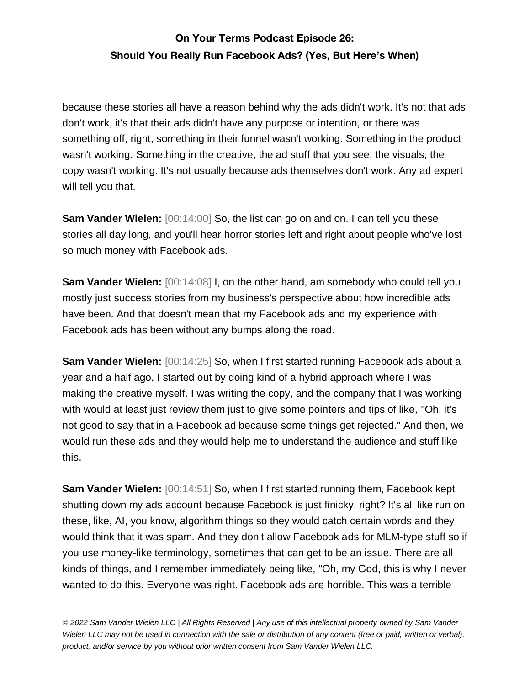because these stories all have a reason behind why the ads didn't work. It's not that ads don't work, it's that their ads didn't have any purpose or intention, or there was something off, right, something in their funnel wasn't working. Something in the product wasn't working. Something in the creative, the ad stuff that you see, the visuals, the copy wasn't working. It's not usually because ads themselves don't work. Any ad expert will tell you that.

**Sam Vander Wielen:** [00:14:00] So, the list can go on and on. I can tell you these stories all day long, and you'll hear horror stories left and right about people who've lost so much money with Facebook ads.

**Sam Vander Wielen:** [00:14:08] I, on the other hand, am somebody who could tell you mostly just success stories from my business's perspective about how incredible ads have been. And that doesn't mean that my Facebook ads and my experience with Facebook ads has been without any bumps along the road.

**Sam Vander Wielen:** [00:14:25] So, when I first started running Facebook ads about a year and a half ago, I started out by doing kind of a hybrid approach where I was making the creative myself. I was writing the copy, and the company that I was working with would at least just review them just to give some pointers and tips of like, "Oh, it's not good to say that in a Facebook ad because some things get rejected." And then, we would run these ads and they would help me to understand the audience and stuff like this.

**Sam Vander Wielen:** [00:14:51] So, when I first started running them, Facebook kept shutting down my ads account because Facebook is just finicky, right? It's all like run on these, like, AI, you know, algorithm things so they would catch certain words and they would think that it was spam. And they don't allow Facebook ads for MLM-type stuff so if you use money-like terminology, sometimes that can get to be an issue. There are all kinds of things, and I remember immediately being like, "Oh, my God, this is why I never wanted to do this. Everyone was right. Facebook ads are horrible. This was a terrible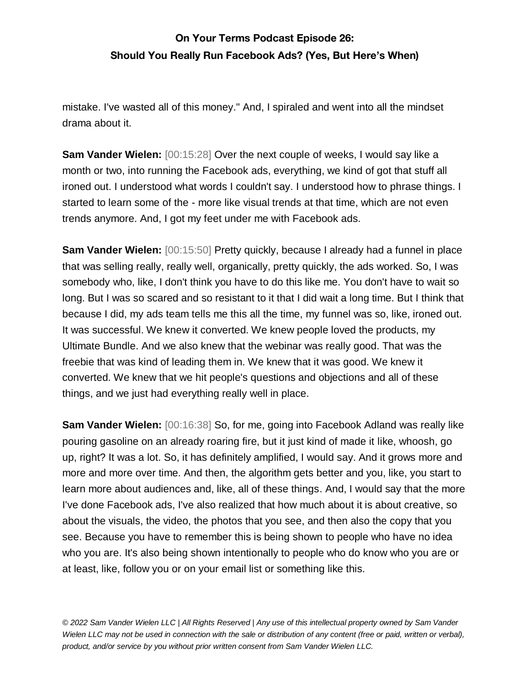mistake. I've wasted all of this money." And, I spiraled and went into all the mindset drama about it.

**Sam Vander Wielen:** [00:15:28] Over the next couple of weeks, I would say like a month or two, into running the Facebook ads, everything, we kind of got that stuff all ironed out. I understood what words I couldn't say. I understood how to phrase things. I started to learn some of the - more like visual trends at that time, which are not even trends anymore. And, I got my feet under me with Facebook ads.

**Sam Vander Wielen:** [00:15:50] Pretty quickly, because I already had a funnel in place that was selling really, really well, organically, pretty quickly, the ads worked. So, I was somebody who, like, I don't think you have to do this like me. You don't have to wait so long. But I was so scared and so resistant to it that I did wait a long time. But I think that because I did, my ads team tells me this all the time, my funnel was so, like, ironed out. It was successful. We knew it converted. We knew people loved the products, my Ultimate Bundle. And we also knew that the webinar was really good. That was the freebie that was kind of leading them in. We knew that it was good. We knew it converted. We knew that we hit people's questions and objections and all of these things, and we just had everything really well in place.

**Sam Vander Wielen:** [00:16:38] So, for me, going into Facebook Adland was really like pouring gasoline on an already roaring fire, but it just kind of made it like, whoosh, go up, right? It was a lot. So, it has definitely amplified, I would say. And it grows more and more and more over time. And then, the algorithm gets better and you, like, you start to learn more about audiences and, like, all of these things. And, I would say that the more I've done Facebook ads, I've also realized that how much about it is about creative, so about the visuals, the video, the photos that you see, and then also the copy that you see. Because you have to remember this is being shown to people who have no idea who you are. It's also being shown intentionally to people who do know who you are or at least, like, follow you or on your email list or something like this.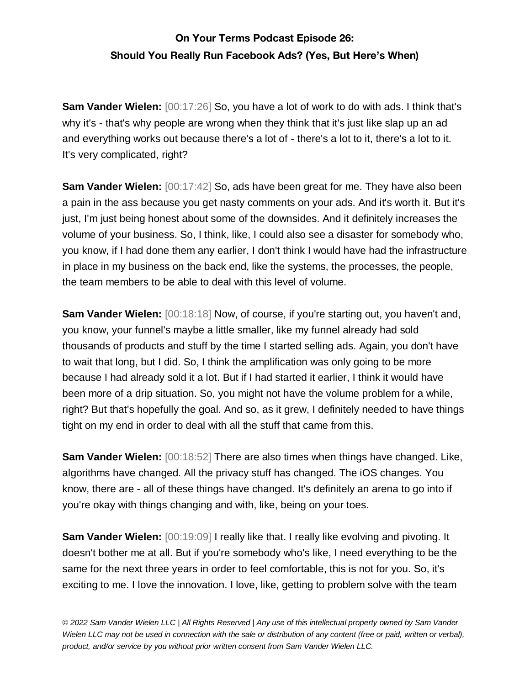**Sam Vander Wielen:** [00:17:26] So, you have a lot of work to do with ads. I think that's why it's - that's why people are wrong when they think that it's just like slap up an ad and everything works out because there's a lot of - there's a lot to it, there's a lot to it. It's very complicated, right?

**Sam Vander Wielen:** [00:17:42] So, ads have been great for me. They have also been a pain in the ass because you get nasty comments on your ads. And it's worth it. But it's just, I'm just being honest about some of the downsides. And it definitely increases the volume of your business. So, I think, like, I could also see a disaster for somebody who, you know, if I had done them any earlier, I don't think I would have had the infrastructure in place in my business on the back end, like the systems, the processes, the people, the team members to be able to deal with this level of volume.

**Sam Vander Wielen:** [00:18:18] Now, of course, if you're starting out, you haven't and, you know, your funnel's maybe a little smaller, like my funnel already had sold thousands of products and stuff by the time I started selling ads. Again, you don't have to wait that long, but I did. So, I think the amplification was only going to be more because I had already sold it a lot. But if I had started it earlier, I think it would have been more of a drip situation. So, you might not have the volume problem for a while, right? But that's hopefully the goal. And so, as it grew, I definitely needed to have things tight on my end in order to deal with all the stuff that came from this.

**Sam Vander Wielen:** [00:18:52] There are also times when things have changed. Like, algorithms have changed. All the privacy stuff has changed. The iOS changes. You know, there are - all of these things have changed. It's definitely an arena to go into if you're okay with things changing and with, like, being on your toes.

**Sam Vander Wielen:** [00:19:09] I really like that. I really like evolving and pivoting. It doesn't bother me at all. But if you're somebody who's like, I need everything to be the same for the next three years in order to feel comfortable, this is not for you. So, it's exciting to me. I love the innovation. I love, like, getting to problem solve with the team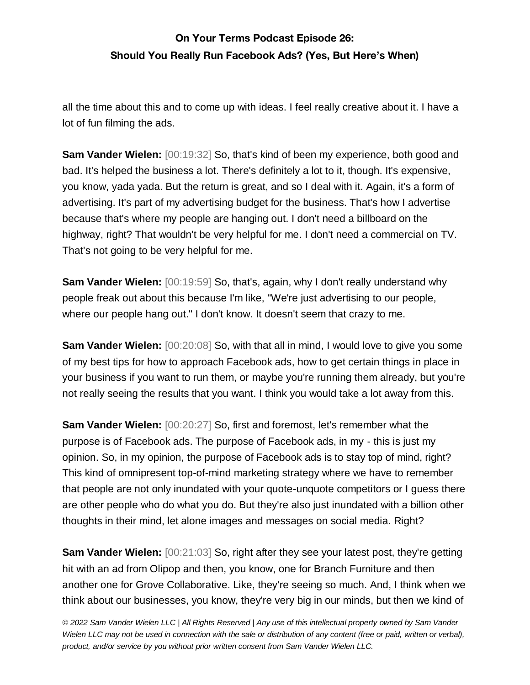all the time about this and to come up with ideas. I feel really creative about it. I have a lot of fun filming the ads.

**Sam Vander Wielen:** [00:19:32] So, that's kind of been my experience, both good and bad. It's helped the business a lot. There's definitely a lot to it, though. It's expensive, you know, yada yada. But the return is great, and so I deal with it. Again, it's a form of advertising. It's part of my advertising budget for the business. That's how I advertise because that's where my people are hanging out. I don't need a billboard on the highway, right? That wouldn't be very helpful for me. I don't need a commercial on TV. That's not going to be very helpful for me.

**Sam Vander Wielen:** [00:19:59] So, that's, again, why I don't really understand why people freak out about this because I'm like, "We're just advertising to our people, where our people hang out." I don't know. It doesn't seem that crazy to me.

**Sam Vander Wielen:** [00:20:08] So, with that all in mind, I would love to give you some of my best tips for how to approach Facebook ads, how to get certain things in place in your business if you want to run them, or maybe you're running them already, but you're not really seeing the results that you want. I think you would take a lot away from this.

**Sam Vander Wielen:** [00:20:27] So, first and foremost, let's remember what the purpose is of Facebook ads. The purpose of Facebook ads, in my - this is just my opinion. So, in my opinion, the purpose of Facebook ads is to stay top of mind, right? This kind of omnipresent top-of-mind marketing strategy where we have to remember that people are not only inundated with your quote-unquote competitors or I guess there are other people who do what you do. But they're also just inundated with a billion other thoughts in their mind, let alone images and messages on social media. Right?

**Sam Vander Wielen:** [00:21:03] So, right after they see your latest post, they're getting hit with an ad from Olipop and then, you know, one for Branch Furniture and then another one for Grove Collaborative. Like, they're seeing so much. And, I think when we think about our businesses, you know, they're very big in our minds, but then we kind of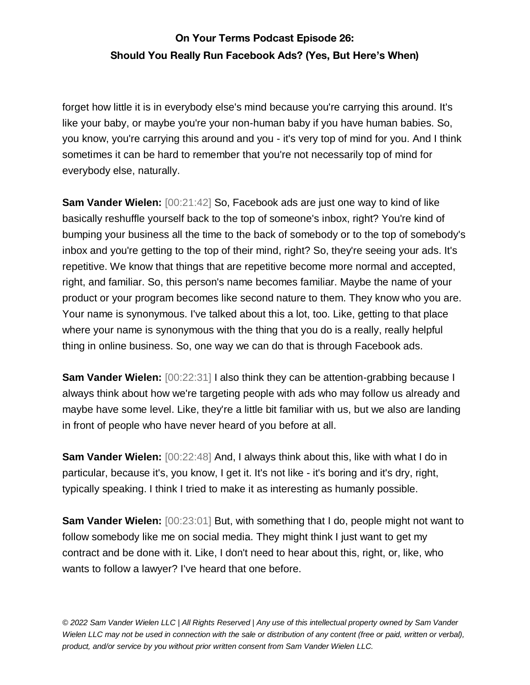forget how little it is in everybody else's mind because you're carrying this around. It's like your baby, or maybe you're your non-human baby if you have human babies. So, you know, you're carrying this around and you - it's very top of mind for you. And I think sometimes it can be hard to remember that you're not necessarily top of mind for everybody else, naturally.

**Sam Vander Wielen:** [00:21:42] So, Facebook ads are just one way to kind of like basically reshuffle yourself back to the top of someone's inbox, right? You're kind of bumping your business all the time to the back of somebody or to the top of somebody's inbox and you're getting to the top of their mind, right? So, they're seeing your ads. It's repetitive. We know that things that are repetitive become more normal and accepted, right, and familiar. So, this person's name becomes familiar. Maybe the name of your product or your program becomes like second nature to them. They know who you are. Your name is synonymous. I've talked about this a lot, too. Like, getting to that place where your name is synonymous with the thing that you do is a really, really helpful thing in online business. So, one way we can do that is through Facebook ads.

**Sam Vander Wielen:**  $[00:22:31]$  I also think they can be attention-grabbing because I always think about how we're targeting people with ads who may follow us already and maybe have some level. Like, they're a little bit familiar with us, but we also are landing in front of people who have never heard of you before at all.

**Sam Vander Wielen:** [00:22:48] And, I always think about this, like with what I do in particular, because it's, you know, I get it. It's not like - it's boring and it's dry, right, typically speaking. I think I tried to make it as interesting as humanly possible.

**Sam Vander Wielen:** [00:23:01] But, with something that I do, people might not want to follow somebody like me on social media. They might think I just want to get my contract and be done with it. Like, I don't need to hear about this, right, or, like, who wants to follow a lawyer? I've heard that one before.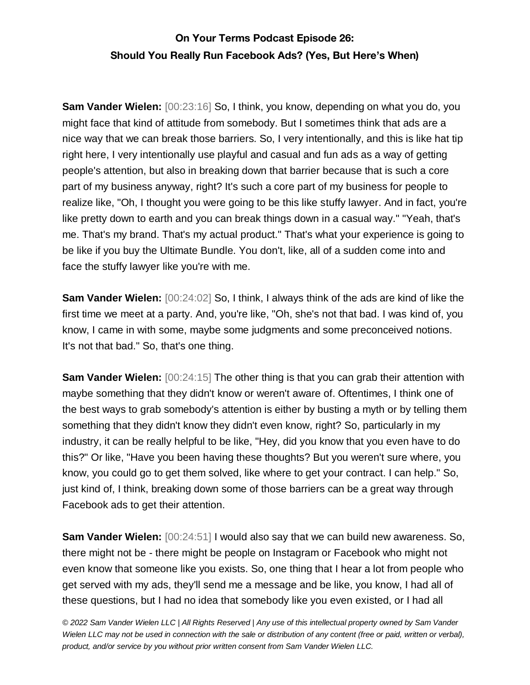**Sam Vander Wielen:** [00:23:16] So, I think, you know, depending on what you do, you might face that kind of attitude from somebody. But I sometimes think that ads are a nice way that we can break those barriers. So, I very intentionally, and this is like hat tip right here, I very intentionally use playful and casual and fun ads as a way of getting people's attention, but also in breaking down that barrier because that is such a core part of my business anyway, right? It's such a core part of my business for people to realize like, "Oh, I thought you were going to be this like stuffy lawyer. And in fact, you're like pretty down to earth and you can break things down in a casual way." "Yeah, that's me. That's my brand. That's my actual product." That's what your experience is going to be like if you buy the Ultimate Bundle. You don't, like, all of a sudden come into and face the stuffy lawyer like you're with me.

**Sam Vander Wielen:** [00:24:02] So, I think, I always think of the ads are kind of like the first time we meet at a party. And, you're like, "Oh, she's not that bad. I was kind of, you know, I came in with some, maybe some judgments and some preconceived notions. It's not that bad." So, that's one thing.

**Sam Vander Wielen:** [00:24:15] The other thing is that you can grab their attention with maybe something that they didn't know or weren't aware of. Oftentimes, I think one of the best ways to grab somebody's attention is either by busting a myth or by telling them something that they didn't know they didn't even know, right? So, particularly in my industry, it can be really helpful to be like, "Hey, did you know that you even have to do this?" Or like, "Have you been having these thoughts? But you weren't sure where, you know, you could go to get them solved, like where to get your contract. I can help." So, just kind of, I think, breaking down some of those barriers can be a great way through Facebook ads to get their attention.

**Sam Vander Wielen:** [00:24:51] I would also say that we can build new awareness. So, there might not be - there might be people on Instagram or Facebook who might not even know that someone like you exists. So, one thing that I hear a lot from people who get served with my ads, they'll send me a message and be like, you know, I had all of these questions, but I had no idea that somebody like you even existed, or I had all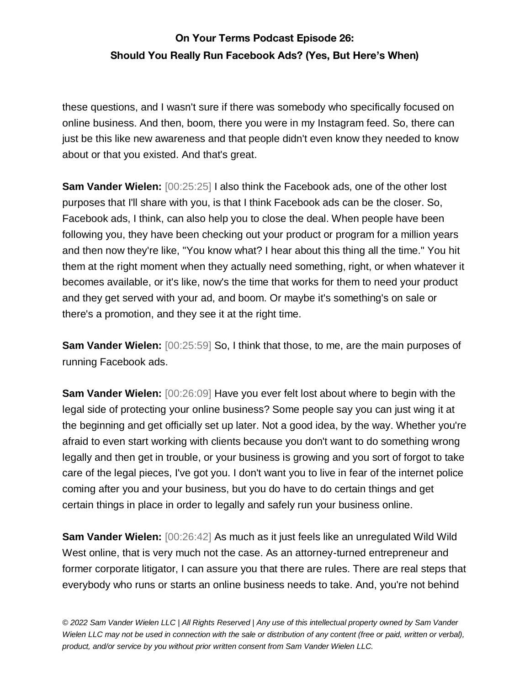these questions, and I wasn't sure if there was somebody who specifically focused on online business. And then, boom, there you were in my Instagram feed. So, there can just be this like new awareness and that people didn't even know they needed to know about or that you existed. And that's great.

**Sam Vander Wielen:** [00:25:25] I also think the Facebook ads, one of the other lost purposes that I'll share with you, is that I think Facebook ads can be the closer. So, Facebook ads, I think, can also help you to close the deal. When people have been following you, they have been checking out your product or program for a million years and then now they're like, "You know what? I hear about this thing all the time." You hit them at the right moment when they actually need something, right, or when whatever it becomes available, or it's like, now's the time that works for them to need your product and they get served with your ad, and boom. Or maybe it's something's on sale or there's a promotion, and they see it at the right time.

**Sam Vander Wielen:** [00:25:59] So, I think that those, to me, are the main purposes of running Facebook ads.

**Sam Vander Wielen:** [00:26:09] Have you ever felt lost about where to begin with the legal side of protecting your online business? Some people say you can just wing it at the beginning and get officially set up later. Not a good idea, by the way. Whether you're afraid to even start working with clients because you don't want to do something wrong legally and then get in trouble, or your business is growing and you sort of forgot to take care of the legal pieces, I've got you. I don't want you to live in fear of the internet police coming after you and your business, but you do have to do certain things and get certain things in place in order to legally and safely run your business online.

**Sam Vander Wielen:** [00:26:42] As much as it just feels like an unregulated Wild Wild West online, that is very much not the case. As an attorney-turned entrepreneur and former corporate litigator, I can assure you that there are rules. There are real steps that everybody who runs or starts an online business needs to take. And, you're not behind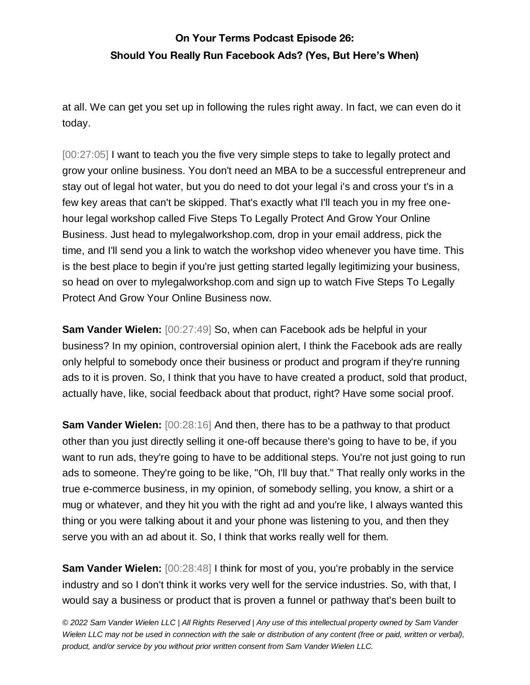at all. We can get you set up in following the rules right away. In fact, we can even do it today.

[00:27:05] I want to teach you the five very simple steps to take to legally protect and grow your online business. You don't need an MBA to be a successful entrepreneur and stay out of legal hot water, but you do need to dot your legal i's and cross your t's in a few key areas that can't be skipped. That's exactly what I'll teach you in my free onehour legal workshop called Five Steps To Legally Protect And Grow Your Online Business. Just head to mylegalworkshop.com, drop in your email address, pick the time, and I'll send you a link to watch the workshop video whenever you have time. This is the best place to begin if you're just getting started legally legitimizing your business, so head on over to mylegalworkshop.com and sign up to watch Five Steps To Legally Protect And Grow Your Online Business now.

**Sam Vander Wielen:** [00:27:49] So, when can Facebook ads be helpful in your business? In my opinion, controversial opinion alert, I think the Facebook ads are really only helpful to somebody once their business or product and program if they're running ads to it is proven. So, I think that you have to have created a product, sold that product, actually have, like, social feedback about that product, right? Have some social proof.

**Sam Vander Wielen:** [00:28:16] And then, there has to be a pathway to that product other than you just directly selling it one-off because there's going to have to be, if you want to run ads, they're going to have to be additional steps. You're not just going to run ads to someone. They're going to be like, "Oh, I'll buy that." That really only works in the true e-commerce business, in my opinion, of somebody selling, you know, a shirt or a mug or whatever, and they hit you with the right ad and you're like, I always wanted this thing or you were talking about it and your phone was listening to you, and then they serve you with an ad about it. So, I think that works really well for them.

**Sam Vander Wielen:**  $[00:28:48]$  I think for most of you, you're probably in the service industry and so I don't think it works very well for the service industries. So, with that, I would say a business or product that is proven a funnel or pathway that's been built to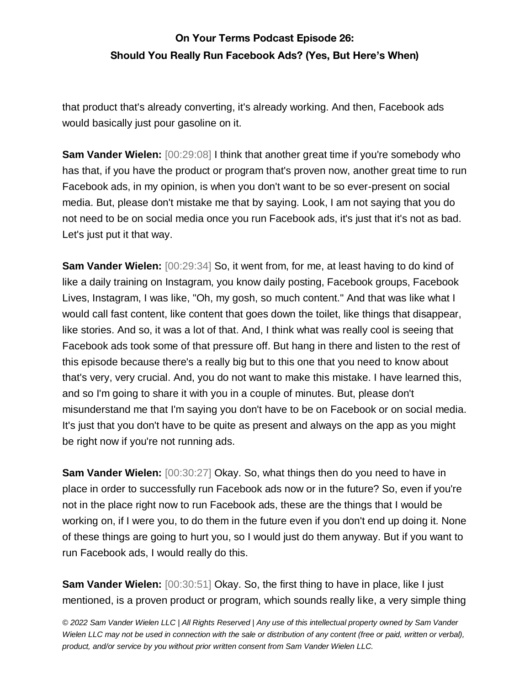that product that's already converting, it's already working. And then, Facebook ads would basically just pour gasoline on it.

**Sam Vander Wielen:** [00:29:08] I think that another great time if you're somebody who has that, if you have the product or program that's proven now, another great time to run Facebook ads, in my opinion, is when you don't want to be so ever-present on social media. But, please don't mistake me that by saying. Look, I am not saying that you do not need to be on social media once you run Facebook ads, it's just that it's not as bad. Let's just put it that way.

**Sam Vander Wielen:** [00:29:34] So, it went from, for me, at least having to do kind of like a daily training on Instagram, you know daily posting, Facebook groups, Facebook Lives, Instagram, I was like, "Oh, my gosh, so much content." And that was like what I would call fast content, like content that goes down the toilet, like things that disappear, like stories. And so, it was a lot of that. And, I think what was really cool is seeing that Facebook ads took some of that pressure off. But hang in there and listen to the rest of this episode because there's a really big but to this one that you need to know about that's very, very crucial. And, you do not want to make this mistake. I have learned this, and so I'm going to share it with you in a couple of minutes. But, please don't misunderstand me that I'm saying you don't have to be on Facebook or on social media. It's just that you don't have to be quite as present and always on the app as you might be right now if you're not running ads.

**Sam Vander Wielen:** [00:30:27] Okay. So, what things then do you need to have in place in order to successfully run Facebook ads now or in the future? So, even if you're not in the place right now to run Facebook ads, these are the things that I would be working on, if I were you, to do them in the future even if you don't end up doing it. None of these things are going to hurt you, so I would just do them anyway. But if you want to run Facebook ads, I would really do this.

**Sam Vander Wielen:** [00:30:51] Okay. So, the first thing to have in place, like I just mentioned, is a proven product or program, which sounds really like, a very simple thing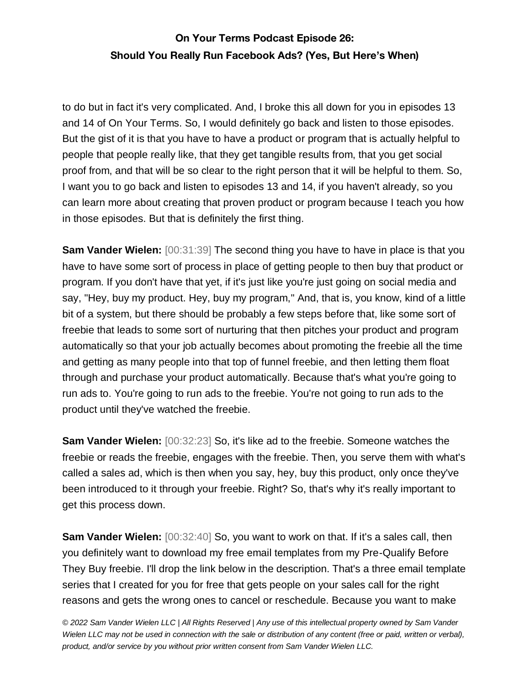to do but in fact it's very complicated. And, I broke this all down for you in episodes 13 and 14 of On Your Terms. So, I would definitely go back and listen to those episodes. But the gist of it is that you have to have a product or program that is actually helpful to people that people really like, that they get tangible results from, that you get social proof from, and that will be so clear to the right person that it will be helpful to them. So, I want you to go back and listen to episodes 13 and 14, if you haven't already, so you can learn more about creating that proven product or program because I teach you how in those episodes. But that is definitely the first thing.

**Sam Vander Wielen:** [00:31:39] The second thing you have to have in place is that you have to have some sort of process in place of getting people to then buy that product or program. If you don't have that yet, if it's just like you're just going on social media and say, "Hey, buy my product. Hey, buy my program," And, that is, you know, kind of a little bit of a system, but there should be probably a few steps before that, like some sort of freebie that leads to some sort of nurturing that then pitches your product and program automatically so that your job actually becomes about promoting the freebie all the time and getting as many people into that top of funnel freebie, and then letting them float through and purchase your product automatically. Because that's what you're going to run ads to. You're going to run ads to the freebie. You're not going to run ads to the product until they've watched the freebie.

**Sam Vander Wielen:** [00:32:23] So, it's like ad to the freebie. Someone watches the freebie or reads the freebie, engages with the freebie. Then, you serve them with what's called a sales ad, which is then when you say, hey, buy this product, only once they've been introduced to it through your freebie. Right? So, that's why it's really important to get this process down.

**Sam Vander Wielen:** [00:32:40] So, you want to work on that. If it's a sales call, then you definitely want to download my free email templates from my Pre-Qualify Before They Buy freebie. I'll drop the link below in the description. That's a three email template series that I created for you for free that gets people on your sales call for the right reasons and gets the wrong ones to cancel or reschedule. Because you want to make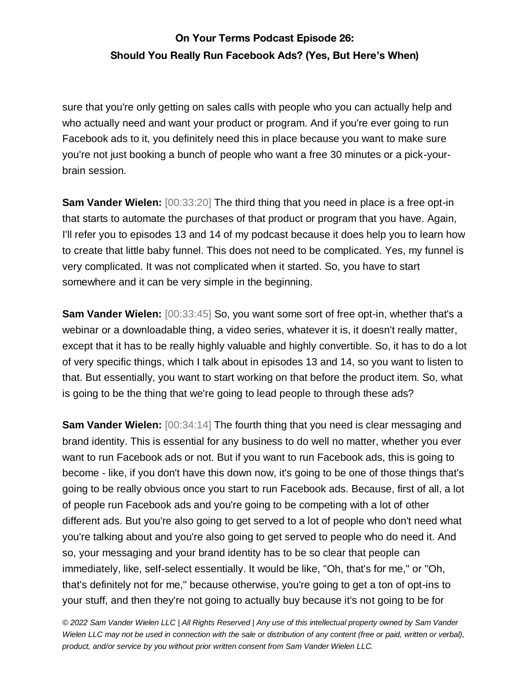sure that you're only getting on sales calls with people who you can actually help and who actually need and want your product or program. And if you're ever going to run Facebook ads to it, you definitely need this in place because you want to make sure you're not just booking a bunch of people who want a free 30 minutes or a pick-yourbrain session.

**Sam Vander Wielen:** [00:33:20] The third thing that you need in place is a free opt-in that starts to automate the purchases of that product or program that you have. Again, I'll refer you to episodes 13 and 14 of my podcast because it does help you to learn how to create that little baby funnel. This does not need to be complicated. Yes, my funnel is very complicated. It was not complicated when it started. So, you have to start somewhere and it can be very simple in the beginning.

**Sam Vander Wielen:** [00:33:45] So, you want some sort of free opt-in, whether that's a webinar or a downloadable thing, a video series, whatever it is, it doesn't really matter, except that it has to be really highly valuable and highly convertible. So, it has to do a lot of very specific things, which I talk about in episodes 13 and 14, so you want to listen to that. But essentially, you want to start working on that before the product item. So, what is going to be the thing that we're going to lead people to through these ads?

**Sam Vander Wielen:** [00:34:14] The fourth thing that you need is clear messaging and brand identity. This is essential for any business to do well no matter, whether you ever want to run Facebook ads or not. But if you want to run Facebook ads, this is going to become - like, if you don't have this down now, it's going to be one of those things that's going to be really obvious once you start to run Facebook ads. Because, first of all, a lot of people run Facebook ads and you're going to be competing with a lot of other different ads. But you're also going to get served to a lot of people who don't need what you're talking about and you're also going to get served to people who do need it. And so, your messaging and your brand identity has to be so clear that people can immediately, like, self-select essentially. It would be like, "Oh, that's for me," or "Oh, that's definitely not for me," because otherwise, you're going to get a ton of opt-ins to your stuff, and then they're not going to actually buy because it's not going to be for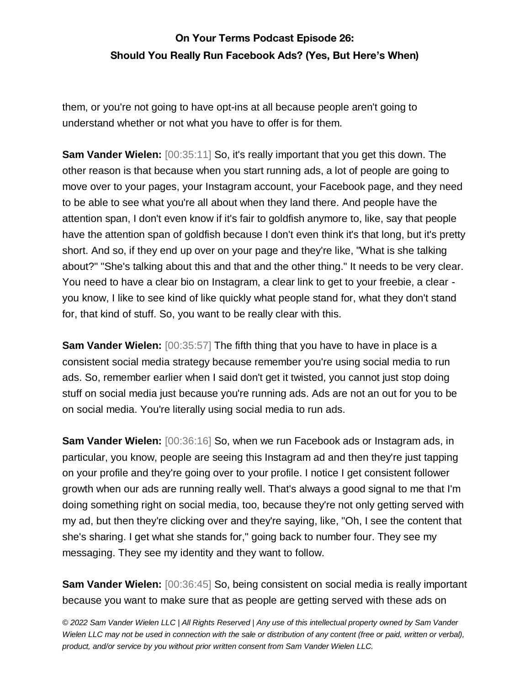them, or you're not going to have opt-ins at all because people aren't going to understand whether or not what you have to offer is for them.

**Sam Vander Wielen:** [00:35:11] So, it's really important that you get this down. The other reason is that because when you start running ads, a lot of people are going to move over to your pages, your Instagram account, your Facebook page, and they need to be able to see what you're all about when they land there. And people have the attention span, I don't even know if it's fair to goldfish anymore to, like, say that people have the attention span of goldfish because I don't even think it's that long, but it's pretty short. And so, if they end up over on your page and they're like, "What is she talking about?" "She's talking about this and that and the other thing." It needs to be very clear. You need to have a clear bio on Instagram, a clear link to get to your freebie, a clear you know, I like to see kind of like quickly what people stand for, what they don't stand for, that kind of stuff. So, you want to be really clear with this.

**Sam Vander Wielen:** [00:35:57] The fifth thing that you have to have in place is a consistent social media strategy because remember you're using social media to run ads. So, remember earlier when I said don't get it twisted, you cannot just stop doing stuff on social media just because you're running ads. Ads are not an out for you to be on social media. You're literally using social media to run ads.

**Sam Vander Wielen:** [00:36:16] So, when we run Facebook ads or Instagram ads, in particular, you know, people are seeing this Instagram ad and then they're just tapping on your profile and they're going over to your profile. I notice I get consistent follower growth when our ads are running really well. That's always a good signal to me that I'm doing something right on social media, too, because they're not only getting served with my ad, but then they're clicking over and they're saying, like, "Oh, I see the content that she's sharing. I get what she stands for," going back to number four. They see my messaging. They see my identity and they want to follow.

**Sam Vander Wielen:** [00:36:45] So, being consistent on social media is really important because you want to make sure that as people are getting served with these ads on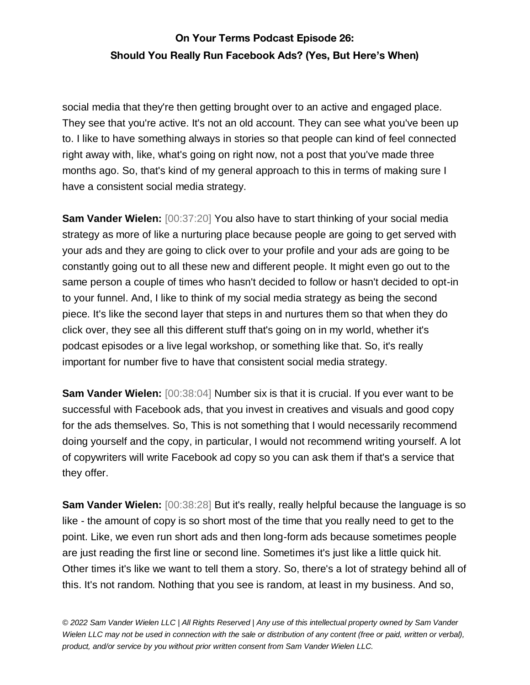social media that they're then getting brought over to an active and engaged place. They see that you're active. It's not an old account. They can see what you've been up to. I like to have something always in stories so that people can kind of feel connected right away with, like, what's going on right now, not a post that you've made three months ago. So, that's kind of my general approach to this in terms of making sure I have a consistent social media strategy.

**Sam Vander Wielen:** [00:37:20] You also have to start thinking of your social media strategy as more of like a nurturing place because people are going to get served with your ads and they are going to click over to your profile and your ads are going to be constantly going out to all these new and different people. It might even go out to the same person a couple of times who hasn't decided to follow or hasn't decided to opt-in to your funnel. And, I like to think of my social media strategy as being the second piece. It's like the second layer that steps in and nurtures them so that when they do click over, they see all this different stuff that's going on in my world, whether it's podcast episodes or a live legal workshop, or something like that. So, it's really important for number five to have that consistent social media strategy.

**Sam Vander Wielen:** [00:38:04] Number six is that it is crucial. If you ever want to be successful with Facebook ads, that you invest in creatives and visuals and good copy for the ads themselves. So, This is not something that I would necessarily recommend doing yourself and the copy, in particular, I would not recommend writing yourself. A lot of copywriters will write Facebook ad copy so you can ask them if that's a service that they offer.

**Sam Vander Wielen:** [00:38:28] But it's really, really helpful because the language is so like - the amount of copy is so short most of the time that you really need to get to the point. Like, we even run short ads and then long-form ads because sometimes people are just reading the first line or second line. Sometimes it's just like a little quick hit. Other times it's like we want to tell them a story. So, there's a lot of strategy behind all of this. It's not random. Nothing that you see is random, at least in my business. And so,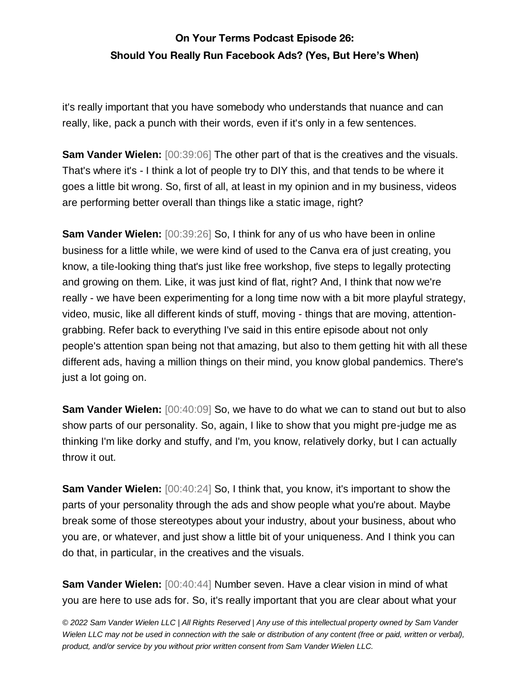it's really important that you have somebody who understands that nuance and can really, like, pack a punch with their words, even if it's only in a few sentences.

**Sam Vander Wielen:** [00:39:06] The other part of that is the creatives and the visuals. That's where it's - I think a lot of people try to DIY this, and that tends to be where it goes a little bit wrong. So, first of all, at least in my opinion and in my business, videos are performing better overall than things like a static image, right?

**Sam Vander Wielen:** [00:39:26] So, I think for any of us who have been in online business for a little while, we were kind of used to the Canva era of just creating, you know, a tile-looking thing that's just like free workshop, five steps to legally protecting and growing on them. Like, it was just kind of flat, right? And, I think that now we're really - we have been experimenting for a long time now with a bit more playful strategy, video, music, like all different kinds of stuff, moving - things that are moving, attentiongrabbing. Refer back to everything I've said in this entire episode about not only people's attention span being not that amazing, but also to them getting hit with all these different ads, having a million things on their mind, you know global pandemics. There's just a lot going on.

**Sam Vander Wielen:** [00:40:09] So, we have to do what we can to stand out but to also show parts of our personality. So, again, I like to show that you might pre-judge me as thinking I'm like dorky and stuffy, and I'm, you know, relatively dorky, but I can actually throw it out.

**Sam Vander Wielen:** [00:40:24] So, I think that, you know, it's important to show the parts of your personality through the ads and show people what you're about. Maybe break some of those stereotypes about your industry, about your business, about who you are, or whatever, and just show a little bit of your uniqueness. And I think you can do that, in particular, in the creatives and the visuals.

**Sam Vander Wielen:** [00:40:44] Number seven. Have a clear vision in mind of what you are here to use ads for. So, it's really important that you are clear about what your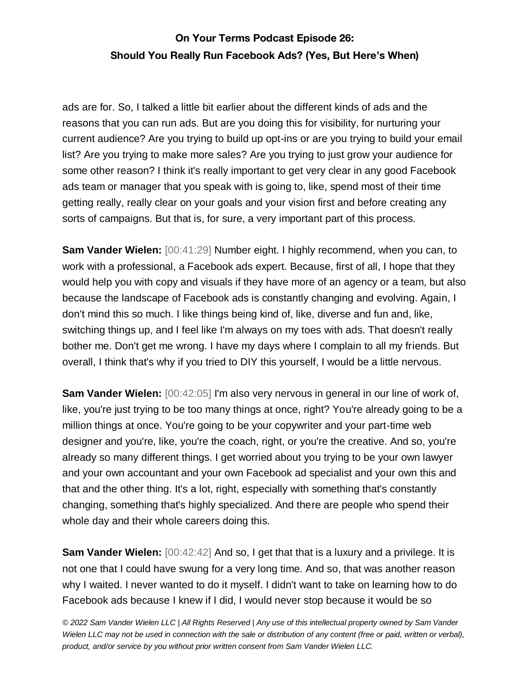ads are for. So, I talked a little bit earlier about the different kinds of ads and the reasons that you can run ads. But are you doing this for visibility, for nurturing your current audience? Are you trying to build up opt-ins or are you trying to build your email list? Are you trying to make more sales? Are you trying to just grow your audience for some other reason? I think it's really important to get very clear in any good Facebook ads team or manager that you speak with is going to, like, spend most of their time getting really, really clear on your goals and your vision first and before creating any sorts of campaigns. But that is, for sure, a very important part of this process.

**Sam Vander Wielen:** [00:41:29] Number eight. I highly recommend, when you can, to work with a professional, a Facebook ads expert. Because, first of all, I hope that they would help you with copy and visuals if they have more of an agency or a team, but also because the landscape of Facebook ads is constantly changing and evolving. Again, I don't mind this so much. I like things being kind of, like, diverse and fun and, like, switching things up, and I feel like I'm always on my toes with ads. That doesn't really bother me. Don't get me wrong. I have my days where I complain to all my friends. But overall, I think that's why if you tried to DIY this yourself, I would be a little nervous.

**Sam Vander Wielen:** [00:42:05] I'm also very nervous in general in our line of work of, like, you're just trying to be too many things at once, right? You're already going to be a million things at once. You're going to be your copywriter and your part-time web designer and you're, like, you're the coach, right, or you're the creative. And so, you're already so many different things. I get worried about you trying to be your own lawyer and your own accountant and your own Facebook ad specialist and your own this and that and the other thing. It's a lot, right, especially with something that's constantly changing, something that's highly specialized. And there are people who spend their whole day and their whole careers doing this.

**Sam Vander Wielen:** [00:42:42] And so, I get that that is a luxury and a privilege. It is not one that I could have swung for a very long time. And so, that was another reason why I waited. I never wanted to do it myself. I didn't want to take on learning how to do Facebook ads because I knew if I did, I would never stop because it would be so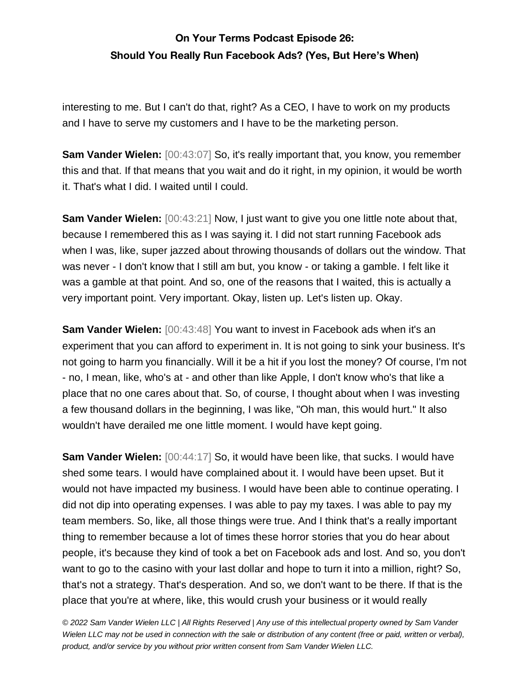interesting to me. But I can't do that, right? As a CEO, I have to work on my products and I have to serve my customers and I have to be the marketing person.

**Sam Vander Wielen:** [00:43:07] So, it's really important that, you know, you remember this and that. If that means that you wait and do it right, in my opinion, it would be worth it. That's what I did. I waited until I could.

**Sam Vander Wielen:** [00:43:21] Now, I just want to give you one little note about that, because I remembered this as I was saying it. I did not start running Facebook ads when I was, like, super jazzed about throwing thousands of dollars out the window. That was never - I don't know that I still am but, you know - or taking a gamble. I felt like it was a gamble at that point. And so, one of the reasons that I waited, this is actually a very important point. Very important. Okay, listen up. Let's listen up. Okay.

**Sam Vander Wielen:** [00:43:48] You want to invest in Facebook ads when it's an experiment that you can afford to experiment in. It is not going to sink your business. It's not going to harm you financially. Will it be a hit if you lost the money? Of course, I'm not - no, I mean, like, who's at - and other than like Apple, I don't know who's that like a place that no one cares about that. So, of course, I thought about when I was investing a few thousand dollars in the beginning, I was like, "Oh man, this would hurt." It also wouldn't have derailed me one little moment. I would have kept going.

**Sam Vander Wielen:** [00:44:17] So, it would have been like, that sucks. I would have shed some tears. I would have complained about it. I would have been upset. But it would not have impacted my business. I would have been able to continue operating. I did not dip into operating expenses. I was able to pay my taxes. I was able to pay my team members. So, like, all those things were true. And I think that's a really important thing to remember because a lot of times these horror stories that you do hear about people, it's because they kind of took a bet on Facebook ads and lost. And so, you don't want to go to the casino with your last dollar and hope to turn it into a million, right? So, that's not a strategy. That's desperation. And so, we don't want to be there. If that is the place that you're at where, like, this would crush your business or it would really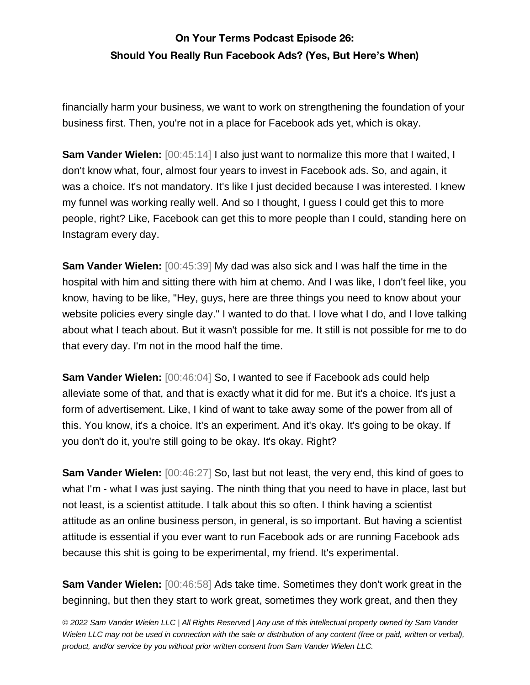financially harm your business, we want to work on strengthening the foundation of your business first. Then, you're not in a place for Facebook ads yet, which is okay.

**Sam Vander Wielen:** [00:45:14] I also just want to normalize this more that I waited, I don't know what, four, almost four years to invest in Facebook ads. So, and again, it was a choice. It's not mandatory. It's like I just decided because I was interested. I knew my funnel was working really well. And so I thought, I guess I could get this to more people, right? Like, Facebook can get this to more people than I could, standing here on Instagram every day.

**Sam Vander Wielen:** [00:45:39] My dad was also sick and I was half the time in the hospital with him and sitting there with him at chemo. And I was like, I don't feel like, you know, having to be like, "Hey, guys, here are three things you need to know about your website policies every single day." I wanted to do that. I love what I do, and I love talking about what I teach about. But it wasn't possible for me. It still is not possible for me to do that every day. I'm not in the mood half the time.

**Sam Vander Wielen:** [00:46:04] So, I wanted to see if Facebook ads could help alleviate some of that, and that is exactly what it did for me. But it's a choice. It's just a form of advertisement. Like, I kind of want to take away some of the power from all of this. You know, it's a choice. It's an experiment. And it's okay. It's going to be okay. If you don't do it, you're still going to be okay. It's okay. Right?

**Sam Vander Wielen:** [00:46:27] So, last but not least, the very end, this kind of goes to what I'm - what I was just saying. The ninth thing that you need to have in place, last but not least, is a scientist attitude. I talk about this so often. I think having a scientist attitude as an online business person, in general, is so important. But having a scientist attitude is essential if you ever want to run Facebook ads or are running Facebook ads because this shit is going to be experimental, my friend. It's experimental.

**Sam Vander Wielen:** [00:46:58] Ads take time. Sometimes they don't work great in the beginning, but then they start to work great, sometimes they work great, and then they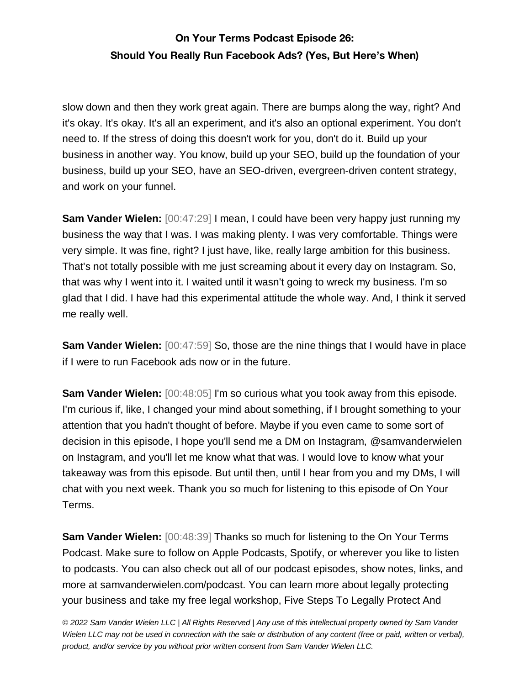slow down and then they work great again. There are bumps along the way, right? And it's okay. It's okay. It's all an experiment, and it's also an optional experiment. You don't need to. If the stress of doing this doesn't work for you, don't do it. Build up your business in another way. You know, build up your SEO, build up the foundation of your business, build up your SEO, have an SEO-driven, evergreen-driven content strategy, and work on your funnel.

**Sam Vander Wielen:** [00:47:29] I mean, I could have been very happy just running my business the way that I was. I was making plenty. I was very comfortable. Things were very simple. It was fine, right? I just have, like, really large ambition for this business. That's not totally possible with me just screaming about it every day on Instagram. So, that was why I went into it. I waited until it wasn't going to wreck my business. I'm so glad that I did. I have had this experimental attitude the whole way. And, I think it served me really well.

**Sam Vander Wielen:** [00:47:59] So, those are the nine things that I would have in place if I were to run Facebook ads now or in the future.

**Sam Vander Wielen:** [00:48:05] I'm so curious what you took away from this episode. I'm curious if, like, I changed your mind about something, if I brought something to your attention that you hadn't thought of before. Maybe if you even came to some sort of decision in this episode, I hope you'll send me a DM on Instagram, @samvanderwielen on Instagram, and you'll let me know what that was. I would love to know what your takeaway was from this episode. But until then, until I hear from you and my DMs, I will chat with you next week. Thank you so much for listening to this episode of On Your Terms.

**Sam Vander Wielen:** [00:48:39] Thanks so much for listening to the On Your Terms Podcast. Make sure to follow on Apple Podcasts, Spotify, or wherever you like to listen to podcasts. You can also check out all of our podcast episodes, show notes, links, and more at samvanderwielen.com/podcast. You can learn more about legally protecting your business and take my free legal workshop, Five Steps To Legally Protect And